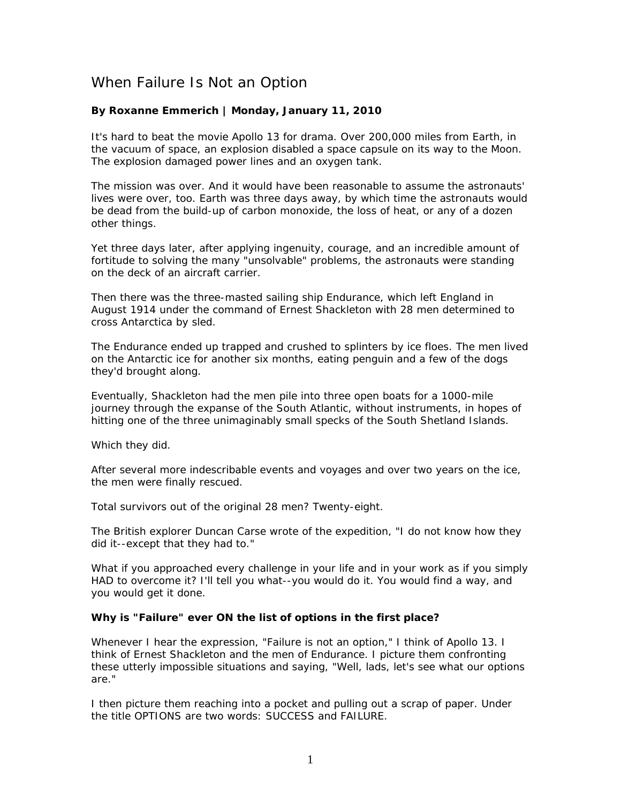## When Failure Is Not an Option

## **By Roxanne Emmerich | Monday, January 11, 2010**

It's hard to beat the movie *Apollo 13* for drama. Over 200,000 miles from Earth, in the vacuum of space, an explosion disabled a space capsule on its way to the Moon. The explosion damaged power lines and an oxygen tank.

The mission was over. And it would have been reasonable to assume the astronauts' lives were over, too. Earth was three days away, by which time the astronauts would be dead from the build-up of carbon monoxide, the loss of heat, or any of a dozen other things.

Yet three days later, after applying ingenuity, courage, and an incredible amount of fortitude to solving the many "unsolvable" problems, the astronauts were standing on the deck of an aircraft carrier.

Then there was the three-masted sailing ship Endurance, which left England in August 1914 under the command of Ernest Shackleton with 28 men determined to cross Antarctica by sled.

The *Endurance* ended up trapped and crushed to splinters by ice floes. The men lived on the Antarctic ice for another six months, eating penguin and a few of the dogs they'd brought along.

Eventually, Shackleton had the men pile into three open boats for a 1000-mile journey through the expanse of the South Atlantic, without instruments, in hopes of hitting one of the three unimaginably small specks of the South Shetland Islands.

Which they did.

After several more indescribable events and voyages and over two years on the ice, the men were finally rescued.

Total survivors out of the original 28 men? Twenty-eight.

The British explorer Duncan Carse wrote of the expedition, "I do not know how they did it--except that they had to."

What if you approached every challenge in your life and in your work as if you simply HAD to overcome it? I'll tell you what--you would do it. You would find a way, and you would get it done.

## **Why is "Failure" ever ON the list of options in the first place?**

Whenever I hear the expression, "Failure is not an option," I think of *Apollo 13*. I think of Ernest Shackleton and the men of *Endurance*. I picture them confronting these utterly impossible situations and saying, "Well, lads, let's see what our options are."

I then picture them reaching into a pocket and pulling out a scrap of paper. Under the title OPTIONS are two words: SUCCESS and FAILURE.